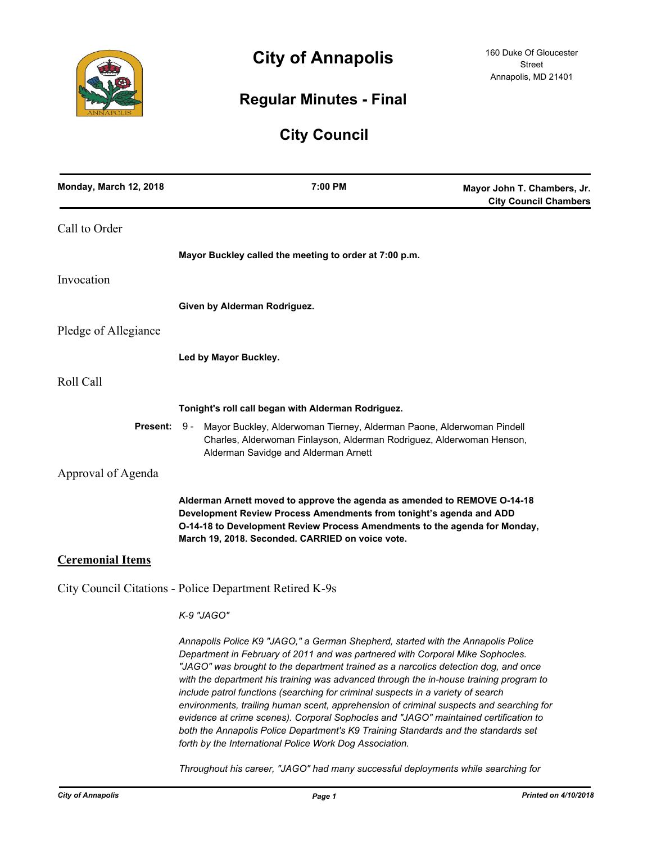

# **City of Annapolis**

## **Regular Minutes - Final**

## **City Council**

| Monday, March 12, 2018  | 7:00 PM                                                                                                                                                                                                                                                                                                                                                                                                                                                                                                                                                                                                                                                                                                                                                                     | Mayor John T. Chambers, Jr.<br><b>City Council Chambers</b> |
|-------------------------|-----------------------------------------------------------------------------------------------------------------------------------------------------------------------------------------------------------------------------------------------------------------------------------------------------------------------------------------------------------------------------------------------------------------------------------------------------------------------------------------------------------------------------------------------------------------------------------------------------------------------------------------------------------------------------------------------------------------------------------------------------------------------------|-------------------------------------------------------------|
| Call to Order           |                                                                                                                                                                                                                                                                                                                                                                                                                                                                                                                                                                                                                                                                                                                                                                             |                                                             |
|                         | Mayor Buckley called the meeting to order at 7:00 p.m.                                                                                                                                                                                                                                                                                                                                                                                                                                                                                                                                                                                                                                                                                                                      |                                                             |
| Invocation              |                                                                                                                                                                                                                                                                                                                                                                                                                                                                                                                                                                                                                                                                                                                                                                             |                                                             |
|                         | Given by Alderman Rodriguez.                                                                                                                                                                                                                                                                                                                                                                                                                                                                                                                                                                                                                                                                                                                                                |                                                             |
| Pledge of Allegiance    |                                                                                                                                                                                                                                                                                                                                                                                                                                                                                                                                                                                                                                                                                                                                                                             |                                                             |
|                         | Led by Mayor Buckley.                                                                                                                                                                                                                                                                                                                                                                                                                                                                                                                                                                                                                                                                                                                                                       |                                                             |
| Roll Call               |                                                                                                                                                                                                                                                                                                                                                                                                                                                                                                                                                                                                                                                                                                                                                                             |                                                             |
|                         | Tonight's roll call began with Alderman Rodriguez.                                                                                                                                                                                                                                                                                                                                                                                                                                                                                                                                                                                                                                                                                                                          |                                                             |
| <b>Present: 9 -</b>     | Mayor Buckley, Alderwoman Tierney, Alderman Paone, Alderwoman Pindell<br>Charles, Alderwoman Finlayson, Alderman Rodriguez, Alderwoman Henson,<br>Alderman Savidge and Alderman Arnett                                                                                                                                                                                                                                                                                                                                                                                                                                                                                                                                                                                      |                                                             |
| Approval of Agenda      |                                                                                                                                                                                                                                                                                                                                                                                                                                                                                                                                                                                                                                                                                                                                                                             |                                                             |
|                         | Alderman Arnett moved to approve the agenda as amended to REMOVE O-14-18<br>Development Review Process Amendments from tonight's agenda and ADD<br>O-14-18 to Development Review Process Amendments to the agenda for Monday,<br>March 19, 2018. Seconded. CARRIED on voice vote.                                                                                                                                                                                                                                                                                                                                                                                                                                                                                           |                                                             |
| <b>Ceremonial Items</b> |                                                                                                                                                                                                                                                                                                                                                                                                                                                                                                                                                                                                                                                                                                                                                                             |                                                             |
|                         | City Council Citations - Police Department Retired K-9s                                                                                                                                                                                                                                                                                                                                                                                                                                                                                                                                                                                                                                                                                                                     |                                                             |
|                         | K-9 "JAGO"                                                                                                                                                                                                                                                                                                                                                                                                                                                                                                                                                                                                                                                                                                                                                                  |                                                             |
|                         | Annapolis Police K9 "JAGO," a German Shepherd, started with the Annapolis Police<br>Department in February of 2011 and was partnered with Corporal Mike Sophocles.<br>"JAGO" was brought to the department trained as a narcotics detection dog, and once<br>with the department his training was advanced through the in-house training program to<br>include patrol functions (searching for criminal suspects in a variety of search<br>environments, trailing human scent, apprehension of criminal suspects and searching for<br>evidence at crime scenes). Corporal Sophocles and "JAGO" maintained certification to<br>both the Annapolis Police Department's K9 Training Standards and the standards set<br>forth by the International Police Work Dog Association. |                                                             |

*Throughout his career, "JAGO" had many successful deployments while searching for*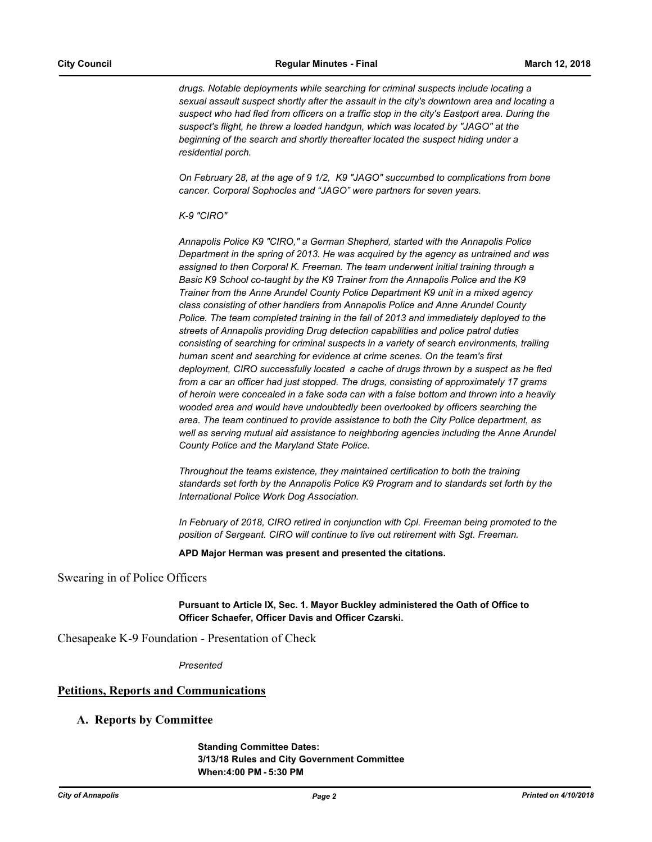*drugs. Notable deployments while searching for criminal suspects include locating a sexual assault suspect shortly after the assault in the city's downtown area and locating a suspect who had fled from officers on a traffic stop in the city's Eastport area. During the suspect's flight, he threw a loaded handgun, which was located by "JAGO" at the beginning of the search and shortly thereafter located the suspect hiding under a residential porch.*

*On February 28, at the age of 9 1/2, K9 "JAGO" succumbed to complications from bone cancer. Corporal Sophocles and "JAGO" were partners for seven years.*

#### *K-9 "CIRO"*

*Annapolis Police K9 "CIRO," a German Shepherd, started with the Annapolis Police Department in the spring of 2013. He was acquired by the agency as untrained and was assigned to then Corporal K. Freeman. The team underwent initial training through a Basic K9 School co-taught by the K9 Trainer from the Annapolis Police and the K9 Trainer from the Anne Arundel County Police Department K9 unit in a mixed agency class consisting of other handlers from Annapolis Police and Anne Arundel County Police. The team completed training in the fall of 2013 and immediately deployed to the streets of Annapolis providing Drug detection capabilities and police patrol duties consisting of searching for criminal suspects in a variety of search environments, trailing human scent and searching for evidence at crime scenes. On the team's first deployment, CIRO successfully located a cache of drugs thrown by a suspect as he fled from a car an officer had just stopped. The drugs, consisting of approximately 17 grams of heroin were concealed in a fake soda can with a false bottom and thrown into a heavily wooded area and would have undoubtedly been overlooked by officers searching the area. The team continued to provide assistance to both the City Police department, as*  well as serving mutual aid assistance to neighboring agencies including the Anne Arundel *County Police and the Maryland State Police.* 

*Throughout the teams existence, they maintained certification to both the training standards set forth by the Annapolis Police K9 Program and to standards set forth by the International Police Work Dog Association.* 

*In February of 2018, CIRO retired in conjunction with Cpl. Freeman being promoted to the position of Sergeant. CIRO will continue to live out retirement with Sgt. Freeman.*

**APD Major Herman was present and presented the citations.**

Swearing in of Police Officers

**Pursuant to Article IX, Sec. 1. Mayor Buckley administered the Oath of Office to Officer Schaefer, Officer Davis and Officer Czarski.**

Chesapeake K-9 Foundation - Presentation of Check

*Presented*

### **Petitions, Reports and Communications**

### **A. Reports by Committee**

**Standing Committee Dates: 3/13/18 Rules and City Government Committee When:4:00 PM - 5:30 PM**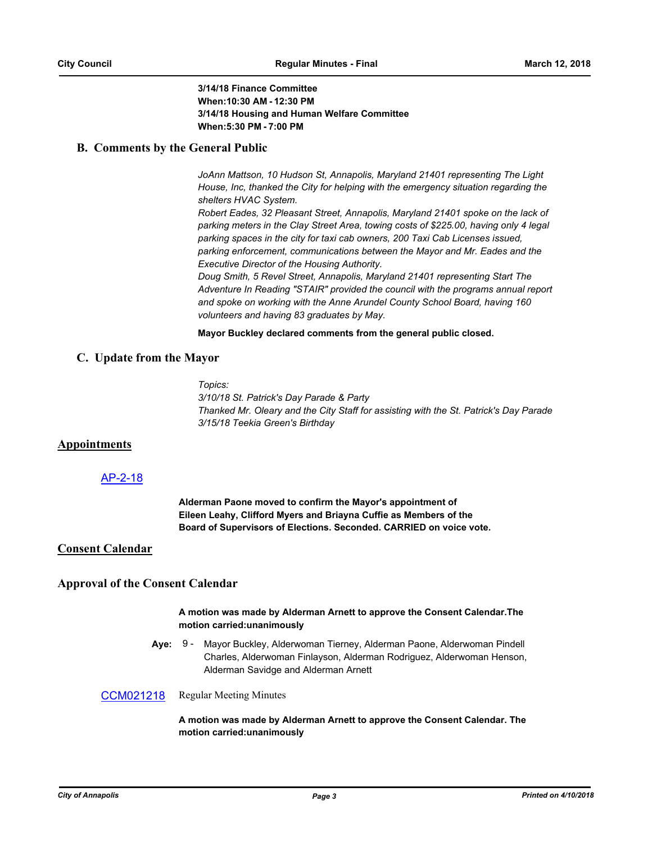**3/14/18 Finance Committee When:10:30 AM - 12:30 PM 3/14/18 Housing and Human Welfare Committee When:5:30 PM - 7:00 PM**

## **B. Comments by the General Public**

*JoAnn Mattson, 10 Hudson St, Annapolis, Maryland 21401 representing The Light House, Inc, thanked the City for helping with the emergency situation regarding the shelters HVAC System.* 

*Robert Eades, 32 Pleasant Street, Annapolis, Maryland 21401 spoke on the lack of parking meters in the Clay Street Area, towing costs of \$225.00, having only 4 legal parking spaces in the city for taxi cab owners, 200 Taxi Cab Licenses issued, parking enforcement, communications between the Mayor and Mr. Eades and the Executive Director of the Housing Authority.*

*Doug Smith, 5 Revel Street, Annapolis, Maryland 21401 representing Start The Adventure In Reading "STAIR" provided the council with the programs annual report and spoke on working with the Anne Arundel County School Board, having 160 volunteers and having 83 graduates by May.*

**Mayor Buckley declared comments from the general public closed.**

## **C. Update from the Mayor**

*Topics: 3/10/18 St. Patrick's Day Parade & Party Thanked Mr. Oleary and the City Staff for assisting with the St. Patrick's Day Parade 3/15/18 Teekia Green's Birthday*

## **Appointments**

## [AP-2-18](http://annapolismd.legistar.com/gateway.aspx?m=l&id=/matter.aspx?key=3559)

**Alderman Paone moved to confirm the Mayor's appointment of Eileen Leahy, Clifford Myers and Briayna Cuffie as Members of the Board of Supervisors of Elections. Seconded. CARRIED on voice vote.**

## **Consent Calendar**

### **Approval of the Consent Calendar**

#### **A motion was made by Alderman Arnett to approve the Consent Calendar.The motion carried:unanimously**

**Aye:** Mayor Buckley, Alderwoman Tierney, Alderman Paone, Alderwoman Pindell Charles, Alderwoman Finlayson, Alderman Rodriguez, Alderwoman Henson, Alderman Savidge and Alderman Arnett **Aye:** 9 -

#### [CCM021218](http://annapolismd.legistar.com/gateway.aspx?m=l&id=/matter.aspx?key=3554) Regular Meeting Minutes

#### **A motion was made by Alderman Arnett to approve the Consent Calendar. The motion carried:unanimously**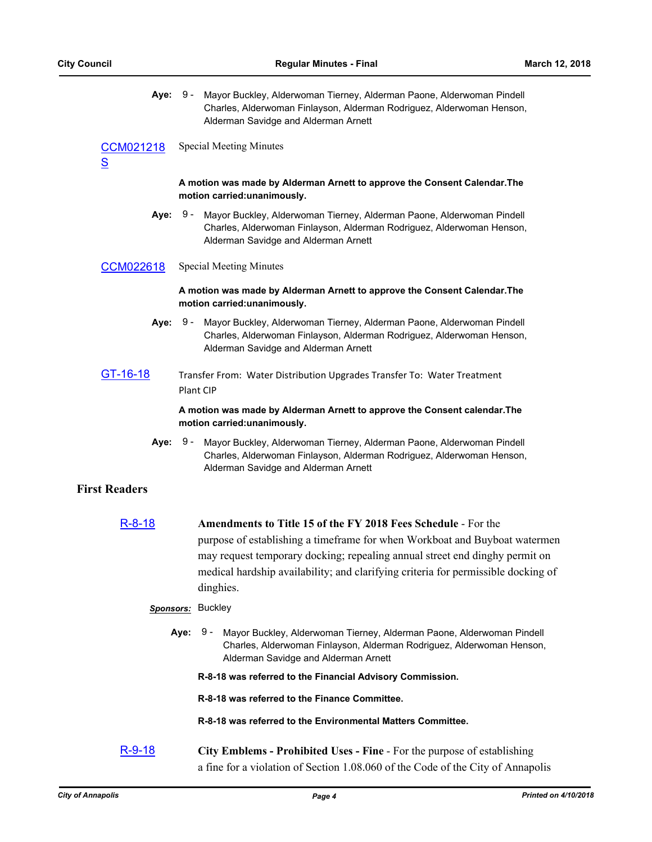| Aye:                                              | 9 - Mayor Buckley, Alderwoman Tierney, Alderman Paone, Alderwoman Pindell<br>Charles, Alderwoman Finlayson, Alderman Rodriguez, Alderwoman Henson,<br>Alderman Savidge and Alderman Arnett            |  |
|---------------------------------------------------|-------------------------------------------------------------------------------------------------------------------------------------------------------------------------------------------------------|--|
| CCM021218<br>$\underline{\underline{\mathsf{S}}}$ | <b>Special Meeting Minutes</b>                                                                                                                                                                        |  |
|                                                   | A motion was made by Alderman Arnett to approve the Consent Calendar. The<br>motion carried:unanimously.                                                                                              |  |
| Aye:                                              | 9 -<br>Mayor Buckley, Alderwoman Tierney, Alderman Paone, Alderwoman Pindell<br>Charles, Alderwoman Finlayson, Alderman Rodriguez, Alderwoman Henson,<br>Alderman Savidge and Alderman Arnett         |  |
| CCM022618                                         | <b>Special Meeting Minutes</b>                                                                                                                                                                        |  |
|                                                   | A motion was made by Alderman Arnett to approve the Consent Calendar. The<br>motion carried:unanimously.                                                                                              |  |
| Aye:                                              | Mayor Buckley, Alderwoman Tierney, Alderman Paone, Alderwoman Pindell<br>9 -<br>Charles, Alderwoman Finlayson, Alderman Rodriguez, Alderwoman Henson,<br>Alderman Savidge and Alderman Arnett         |  |
| <u>GT-16-18</u>                                   | Transfer From: Water Distribution Upgrades Transfer To: Water Treatment<br><b>Plant CIP</b>                                                                                                           |  |
|                                                   | A motion was made by Alderman Arnett to approve the Consent calendar. The<br>motion carried:unanimously.                                                                                              |  |
| Aye:                                              | 9 -<br>Mayor Buckley, Alderwoman Tierney, Alderman Paone, Alderwoman Pindell<br>Charles, Alderwoman Finlayson, Alderman Rodriguez, Alderwoman Henson,<br>Alderman Savidge and Alderman Arnett         |  |
| <b>First Readers</b>                              |                                                                                                                                                                                                       |  |
| $R - 8 - 18$                                      | Amendments to Title 15 of the FY 2018 Fees Schedule - For the                                                                                                                                         |  |
|                                                   | purpose of establishing a timeframe for when Workboat and Buyboat watermen                                                                                                                            |  |
|                                                   | may request temporary docking; repealing annual street end dinghy permit on<br>medical hardship availability; and clarifying criteria for permissible docking of<br>dinghies.                         |  |
| <b>Sponsors:</b>                                  | <b>Buckley</b>                                                                                                                                                                                        |  |
|                                                   | 9 -<br>Aye:<br>Mayor Buckley, Alderwoman Tierney, Alderman Paone, Alderwoman Pindell<br>Charles, Alderwoman Finlayson, Alderman Rodriguez, Alderwoman Henson,<br>Alderman Savidge and Alderman Arnett |  |
|                                                   | R-8-18 was referred to the Financial Advisory Commission.                                                                                                                                             |  |
|                                                   | R-8-18 was referred to the Finance Committee.                                                                                                                                                         |  |
|                                                   | R-8-18 was referred to the Environmental Matters Committee.                                                                                                                                           |  |
| <u>R-9-18</u>                                     | <b>City Emblems - Prohibited Uses - Fine - For the purpose of establishing</b><br>a fine for a violation of Section 1.08.060 of the Code of the City of Annapolis                                     |  |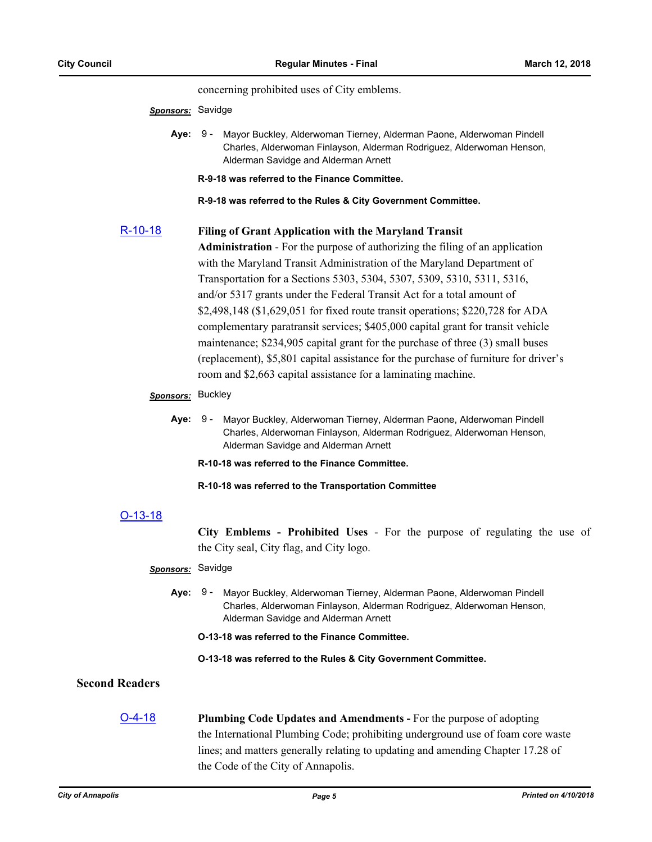concerning prohibited uses of City emblems.

## *Sponsors:* Savidge

- **Aye:** Mayor Buckley, Alderwoman Tierney, Alderman Paone, Alderwoman Pindell Charles, Alderwoman Finlayson, Alderman Rodriguez, Alderwoman Henson, Alderman Savidge and Alderman Arnett Aye: 9 -
	- **R-9-18 was referred to the Finance Committee.**
	- **R-9-18 was referred to the Rules & City Government Committee.**

#### [R-10-18](http://annapolismd.legistar.com/gateway.aspx?m=l&id=/matter.aspx?key=3552) **Filing of Grant Application with the Maryland Transit**

**Administration** - For the purpose of authorizing the filing of an application with the Maryland Transit Administration of the Maryland Department of Transportation for a Sections 5303, 5304, 5307, 5309, 5310, 5311, 5316, and/or 5317 grants under the Federal Transit Act for a total amount of \$2,498,148 (\$1,629,051 for fixed route transit operations; \$220,728 for ADA complementary paratransit services; \$405,000 capital grant for transit vehicle maintenance; \$234,905 capital grant for the purchase of three (3) small buses (replacement), \$5,801 capital assistance for the purchase of furniture for driver's room and \$2,663 capital assistance for a laminating machine.

#### *Sponsors:* Buckley

- **Aye:** Mayor Buckley, Alderwoman Tierney, Alderman Paone, Alderwoman Pindell Charles, Alderwoman Finlayson, Alderman Rodriguez, Alderwoman Henson, Alderman Savidge and Alderman Arnett Aye: 9 -
	- **R-10-18 was referred to the Finance Committee.**

**R-10-18 was referred to the Transportation Committee**

### [O-13-18](http://annapolismd.legistar.com/gateway.aspx?m=l&id=/matter.aspx?key=3551)

**City Emblems - Prohibited Uses** - For the purpose of regulating the use of the City seal, City flag, and City logo.

### *Sponsors:* Savidge

**Aye:** Mayor Buckley, Alderwoman Tierney, Alderman Paone, Alderwoman Pindell Charles, Alderwoman Finlayson, Alderman Rodriguez, Alderwoman Henson, Alderman Savidge and Alderman Arnett Aye: 9 -

**O-13-18 was referred to the Finance Committee.**

**O-13-18 was referred to the Rules & City Government Committee.**

## **Second Readers**

[O-4-18](http://annapolismd.legistar.com/gateway.aspx?m=l&id=/matter.aspx?key=3456) **Plumbing Code Updates and Amendments -** For the purpose of adopting the International Plumbing Code; prohibiting underground use of foam core waste lines; and matters generally relating to updating and amending Chapter 17.28 of the Code of the City of Annapolis.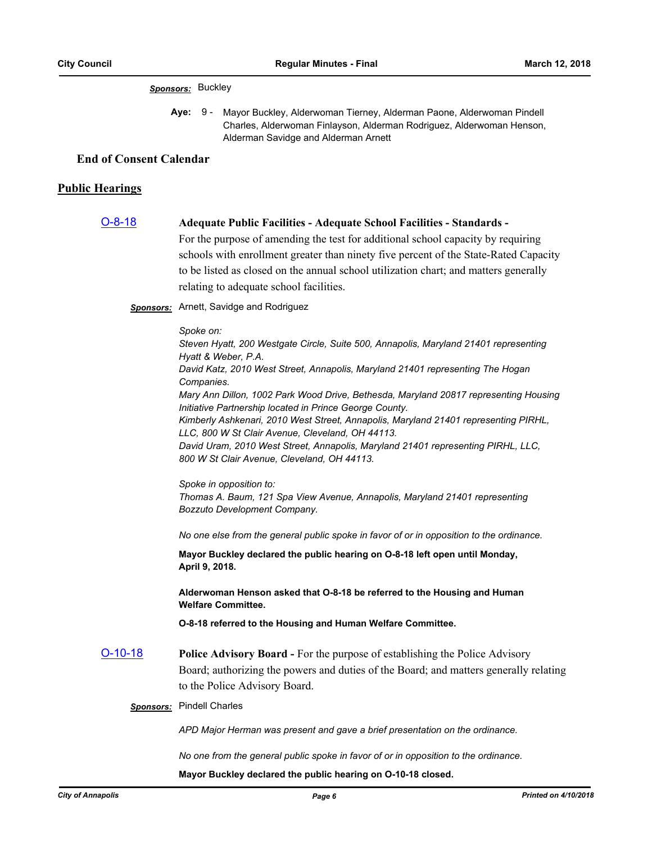#### *Sponsors:* Buckley

**Aye:** Mayor Buckley, Alderwoman Tierney, Alderman Paone, Alderwoman Pindell Charles, Alderwoman Finlayson, Alderman Rodriguez, Alderwoman Henson, Alderman Savidge and Alderman Arnett Aye: 9 -

## **End of Consent Calendar**

#### **Public Hearings**

| $O-8-18$ | <b>Adequate Public Facilities - Adequate School Facilities - Standards -</b>         |
|----------|--------------------------------------------------------------------------------------|
|          | For the purpose of amending the test for additional school capacity by requiring     |
|          | schools with enrollment greater than ninety five percent of the State-Rated Capacity |
|          | to be listed as closed on the annual school utilization chart; and matters generally |
|          | relating to adequate school facilities.                                              |
|          |                                                                                      |

*Sponsors:* Arnett, Savidge and Rodriguez

*Spoke on:*

*Steven Hyatt, 200 Westgate Circle, Suite 500, Annapolis, Maryland 21401 representing Hyatt & Weber, P.A. David Katz, 2010 West Street, Annapolis, Maryland 21401 representing The Hogan Companies. Mary Ann Dillon, 1002 Park Wood Drive, Bethesda, Maryland 20817 representing Housing Initiative Partnership located in Prince George County. Kimberly Ashkenari, 2010 West Street, Annapolis, Maryland 21401 representing PIRHL, LLC, 800 W St Clair Avenue, Cleveland, OH 44113. David Uram, 2010 West Street, Annapolis, Maryland 21401 representing PIRHL, LLC, 800 W St Clair Avenue, Cleveland, OH 44113. Spoke in opposition to: Thomas A. Baum, 121 Spa View Avenue, Annapolis, Maryland 21401 representing Bozzuto Development Company. No one else from the general public spoke in favor of or in opposition to the ordinance.* **Mayor Buckley declared the public hearing on O-8-18 left open until Monday, April 9, 2018. Alderwoman Henson asked that O-8-18 be referred to the Housing and Human Welfare Committee. O-8-18 referred to the Housing and Human Welfare Committee.** [O-10-18](http://annapolismd.legistar.com/gateway.aspx?m=l&id=/matter.aspx?key=3514) **Police Advisory Board -** For the purpose of establishing the Police Advisory Board; authorizing the powers and duties of the Board; and matters generally relating to the Police Advisory Board. *Sponsors:* Pindell Charles *APD Major Herman was present and gave a brief presentation on the ordinance.*

*No one from the general public spoke in favor of or in opposition to the ordinance.*

#### **Mayor Buckley declared the public hearing on O-10-18 closed.**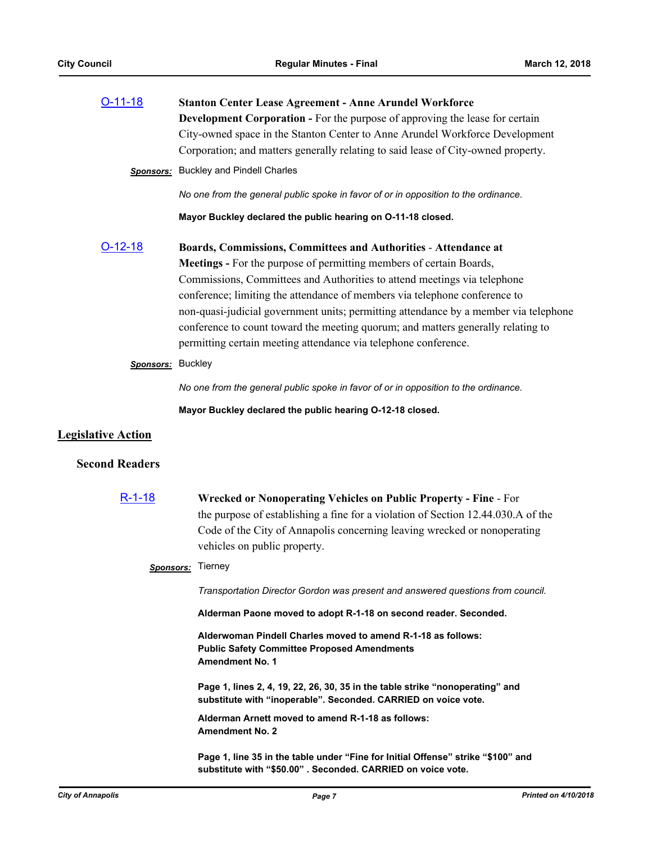| $O-11-18$                 | <b>Stanton Center Lease Agreement - Anne Arundel Workforce</b>                                                                                  |  |
|---------------------------|-------------------------------------------------------------------------------------------------------------------------------------------------|--|
|                           | <b>Development Corporation - For the purpose of approving the lease for certain</b>                                                             |  |
|                           | City-owned space in the Stanton Center to Anne Arundel Workforce Development                                                                    |  |
|                           | Corporation; and matters generally relating to said lease of City-owned property.                                                               |  |
|                           | <b>Sponsors:</b> Buckley and Pindell Charles                                                                                                    |  |
|                           | No one from the general public spoke in favor of or in opposition to the ordinance.                                                             |  |
|                           | Mayor Buckley declared the public hearing on O-11-18 closed.                                                                                    |  |
| $O-12-18$                 | Boards, Commissions, Committees and Authorities - Attendance at                                                                                 |  |
|                           | Meetings - For the purpose of permitting members of certain Boards,                                                                             |  |
|                           | Commissions, Committees and Authorities to attend meetings via telephone                                                                        |  |
|                           | conference; limiting the attendance of members via telephone conference to                                                                      |  |
|                           | non-quasi-judicial government units; permitting attendance by a member via telephone                                                            |  |
|                           | conference to count toward the meeting quorum; and matters generally relating to                                                                |  |
|                           | permitting certain meeting attendance via telephone conference.                                                                                 |  |
| Sponsors: Buckley         |                                                                                                                                                 |  |
|                           | No one from the general public spoke in favor of or in opposition to the ordinance.                                                             |  |
|                           | Mayor Buckley declared the public hearing O-12-18 closed.                                                                                       |  |
| <b>Legislative Action</b> |                                                                                                                                                 |  |
| <b>Second Readers</b>     |                                                                                                                                                 |  |
| $R-1-18$                  | Wrecked or Nonoperating Vehicles on Public Property - Fine - For                                                                                |  |
|                           | the purpose of establishing a fine for a violation of Section 12.44.030.A of the                                                                |  |
|                           | Code of the City of Annapolis concerning leaving wrecked or nonoperating                                                                        |  |
|                           | vehicles on public property.                                                                                                                    |  |
|                           | Sponsors: Tierney                                                                                                                               |  |
|                           | Transportation Director Gordon was present and answered questions from council.                                                                 |  |
|                           | Alderman Paone moved to adopt R-1-18 on second reader. Seconded.                                                                                |  |
|                           | Alderwoman Pindell Charles moved to amend R-1-18 as follows:<br><b>Public Safety Committee Proposed Amendments</b><br><b>Amendment No. 1</b>    |  |
|                           | Page 1, lines 2, 4, 19, 22, 26, 30, 35 in the table strike "nonoperating" and<br>substitute with "inoperable". Seconded. CARRIED on voice vote. |  |
|                           | Alderman Arnett moved to amend R-1-18 as follows:<br><b>Amendment No. 2</b>                                                                     |  |
|                           | Page 1, line 35 in the table under "Fine for Initial Offense" strike "\$100" and<br>substitute with "\$50.00". Seconded. CARRIED on voice vote. |  |